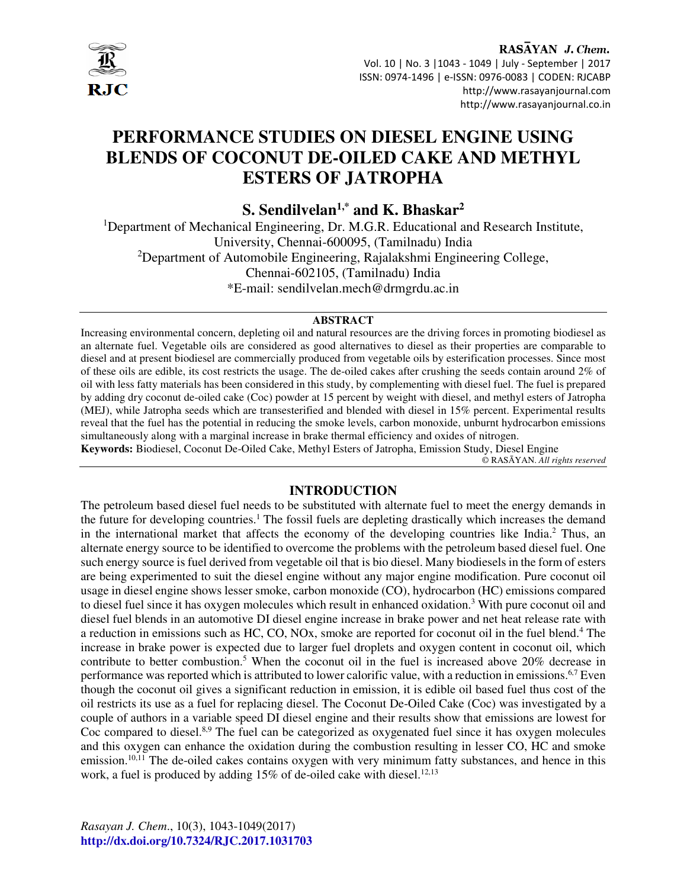

RASAYAN J. Chem. Vol. 10 | No. 3 |1043 - 1049 | July - September | 2017 ISSN: 0974-1496 | e-ISSN: 0976-0083 | CODEN: RJCABP http://www.rasayanjournal.com http://www.rasayanjournal.co.in

# **PERFORMANCE STUDIES ON DIESEL ENGINE USING BLENDS OF COCONUT DE-OILED CAKE AND METHYL ESTERS OF JATROPHA**

**S. Sendilvelan1,\* and K. Bhaskar<sup>2</sup>**

<sup>1</sup>Department of Mechanical Engineering, Dr. M.G.R. Educational and Research Institute, University, Chennai-600095, (Tamilnadu) India <sup>2</sup>Department of Automobile Engineering, Rajalakshmi Engineering College, Chennai-602105, (Tamilnadu) India \*E-mail: sendilvelan.mech@drmgrdu.ac.in

#### **ABSTRACT**

Increasing environmental concern, depleting oil and natural resources are the driving forces in promoting biodiesel as an alternate fuel. Vegetable oils are considered as good alternatives to diesel as their properties are comparable to diesel and at present biodiesel are commercially produced from vegetable oils by esterification processes. Since most of these oils are edible, its cost restricts the usage. The de-oiled cakes after crushing the seeds contain around 2% of oil with less fatty materials has been considered in this study, by complementing with diesel fuel. The fuel is prepared by adding dry coconut de-oiled cake (Coc) powder at 15 percent by weight with diesel, and methyl esters of Jatropha (MEJ), while Jatropha seeds which are transesterified and blended with diesel in 15% percent. Experimental results reveal that the fuel has the potential in reducing the smoke levels, carbon monoxide, unburnt hydrocarbon emissions simultaneously along with a marginal increase in brake thermal efficiency and oxides of nitrogen. **Keywords:** Biodiesel, Coconut De-Oiled Cake, Methyl Esters of Jatropha, Emission Study, Diesel Engine

© RASĀYAN. *All rights reserved*

# **INTRODUCTION**

The petroleum based diesel fuel needs to be substituted with alternate fuel to meet the energy demands in the future for developing countries.<sup>1</sup> The fossil fuels are depleting drastically which increases the demand in the international market that affects the economy of the developing countries like India.<sup>2</sup> Thus, an alternate energy source to be identified to overcome the problems with the petroleum based diesel fuel. One such energy source is fuel derived from vegetable oil that is bio diesel. Many biodiesels in the form of esters are being experimented to suit the diesel engine without any major engine modification. Pure coconut oil usage in diesel engine shows lesser smoke, carbon monoxide (CO), hydrocarbon (HC) emissions compared to diesel fuel since it has oxygen molecules which result in enhanced oxidation.<sup>3</sup> With pure coconut oil and diesel fuel blends in an automotive DI diesel engine increase in brake power and net heat release rate with a reduction in emissions such as HC, CO, NOx, smoke are reported for coconut oil in the fuel blend.<sup>4</sup> The increase in brake power is expected due to larger fuel droplets and oxygen content in coconut oil, which contribute to better combustion.<sup>5</sup> When the coconut oil in the fuel is increased above 20% decrease in performance was reported which is attributed to lower calorific value, with a reduction in emissions.6,7 Even though the coconut oil gives a significant reduction in emission, it is edible oil based fuel thus cost of the oil restricts its use as a fuel for replacing diesel. The Coconut De-Oiled Cake (Coc) was investigated by a couple of authors in a variable speed DI diesel engine and their results show that emissions are lowest for Coc compared to diesel.<sup>8,9</sup> The fuel can be categorized as oxygenated fuel since it has oxygen molecules and this oxygen can enhance the oxidation during the combustion resulting in lesser CO, HC and smoke emission.<sup>10,11</sup> The de-oiled cakes contains oxygen with very minimum fatty substances, and hence in this work, a fuel is produced by adding  $15\%$  of de-oiled cake with diesel.<sup>12,13</sup>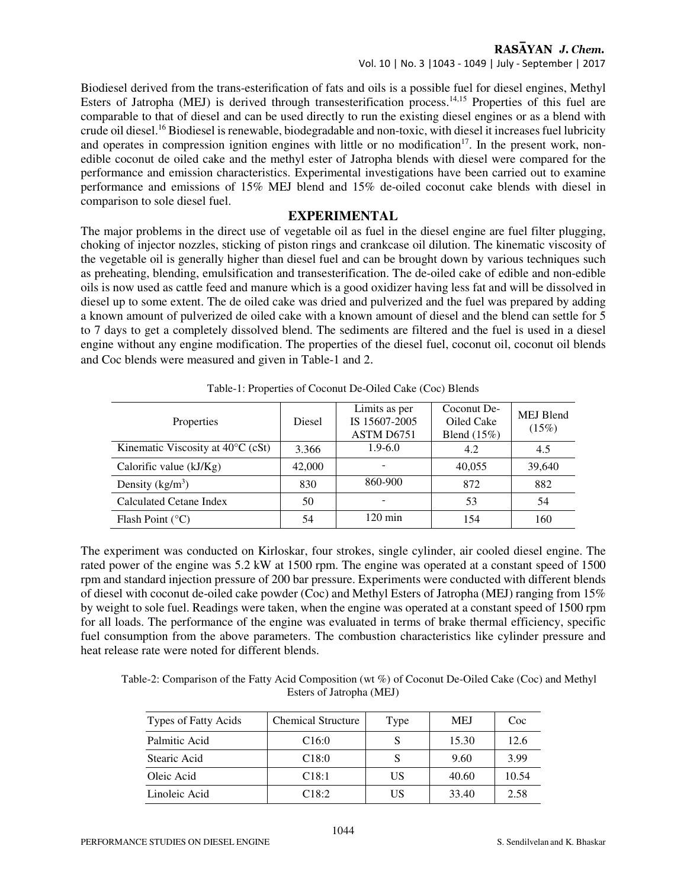#### RASAYAN J. Chem.

Vol. 10 | No. 3 |1043 - 1049 | July - September | 2017

Biodiesel derived from the trans-esterification of fats and oils is a possible fuel for diesel engines, Methyl Esters of Jatropha (MEJ) is derived through transesterification process.<sup>14,15</sup> Properties of this fuel are comparable to that of diesel and can be used directly to run the existing diesel engines or as a blend with crude oil diesel.<sup>16</sup> Biodiesel is renewable, biodegradable and non-toxic, with diesel it increases fuel lubricity and operates in compression ignition engines with little or no modification<sup>17</sup>. In the present work, nonedible coconut de oiled cake and the methyl ester of Jatropha blends with diesel were compared for the performance and emission characteristics. Experimental investigations have been carried out to examine performance and emissions of 15% MEJ blend and 15% de-oiled coconut cake blends with diesel in comparison to sole diesel fuel.

# **EXPERIMENTAL**

The major problems in the direct use of vegetable oil as fuel in the diesel engine are fuel filter plugging, choking of injector nozzles, sticking of piston rings and crankcase oil dilution. The kinematic viscosity of the vegetable oil is generally higher than diesel fuel and can be brought down by various techniques such as preheating, blending, emulsification and transesterification. The de-oiled cake of edible and non-edible oils is now used as cattle feed and manure which is a good oxidizer having less fat and will be dissolved in diesel up to some extent. The de oiled cake was dried and pulverized and the fuel was prepared by adding a known amount of pulverized de oiled cake with a known amount of diesel and the blend can settle for 5 to 7 days to get a completely dissolved blend. The sediments are filtered and the fuel is used in a diesel engine without any engine modification. The properties of the diesel fuel, coconut oil, coconut oil blends and Coc blends were measured and given in Table-1 and 2.

| Properties                                  | <b>Diesel</b> | Limits as per<br>IS 15607-2005<br>ASTM D6751 | Coconut De-<br>Oiled Cake<br>Blend $(15\%)$ | <b>MEJ Blend</b><br>(15%) |
|---------------------------------------------|---------------|----------------------------------------------|---------------------------------------------|---------------------------|
| Kinematic Viscosity at $40^{\circ}$ C (cSt) | 3.366         | $1.9 - 6.0$                                  | 4.2                                         | 4.5                       |
| Calorific value $(kJ/Kg)$                   | 42,000        |                                              | 40,055                                      | 39,640                    |
| Density $(kg/m^3)$                          | 830           | 860-900                                      | 872                                         | 882                       |
| Calculated Cetane Index                     | 50            |                                              | 53                                          | 54                        |
| Flash Point $(^{\circ}C)$                   | 54            | $120 \text{ min}$                            | 154                                         | 160                       |

Table-1: Properties of Coconut De-Oiled Cake (Coc) Blends

The experiment was conducted on Kirloskar, four strokes, single cylinder, air cooled diesel engine. The rated power of the engine was 5.2 kW at 1500 rpm. The engine was operated at a constant speed of 1500 rpm and standard injection pressure of 200 bar pressure. Experiments were conducted with different blends of diesel with coconut de-oiled cake powder (Coc) and Methyl Esters of Jatropha (MEJ) ranging from 15% by weight to sole fuel. Readings were taken, when the engine was operated at a constant speed of 1500 rpm for all loads. The performance of the engine was evaluated in terms of brake thermal efficiency, specific fuel consumption from the above parameters. The combustion characteristics like cylinder pressure and heat release rate were noted for different blends.

Table-2: Comparison of the Fatty Acid Composition (wt %) of Coconut De-Oiled Cake (Coc) and Methyl Esters of Jatropha (MEJ)

| Types of Fatty Acids | <b>Chemical Structure</b> | Type | <b>MEJ</b> | Coc   |
|----------------------|---------------------------|------|------------|-------|
| Palmitic Acid        | C <sub>16:0</sub>         |      | 15.30      | 12.6  |
| Stearic Acid         | C18:0                     |      | 9.60       | 3.99  |
| Oleic Acid           | C18:1                     | US   | 40.60      | 10.54 |
| Linoleic Acid        | C18:2                     | US   | 33.40      | 2.58  |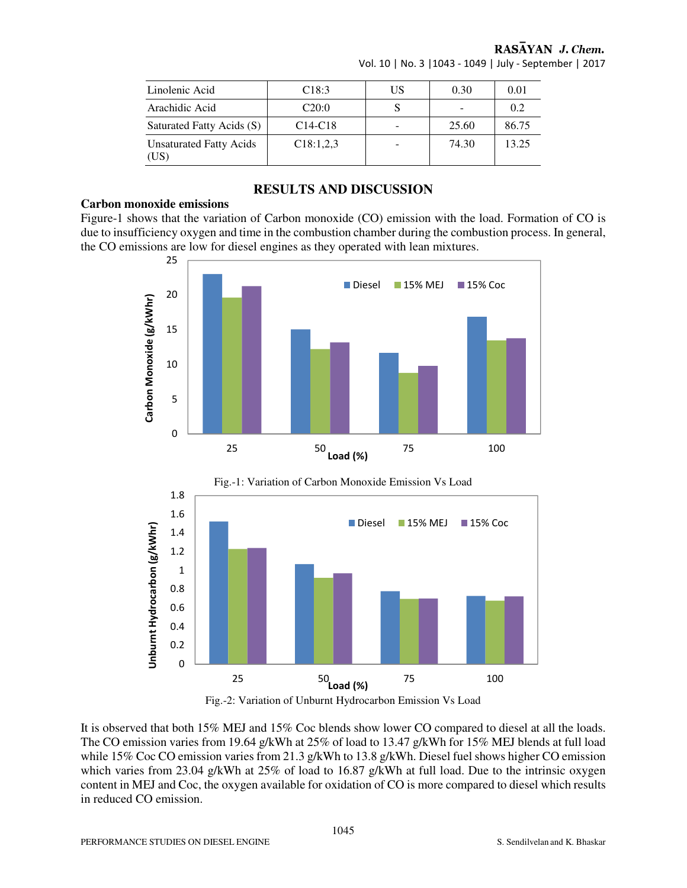| Linolenic Acid                         | C18:3     | US | 0.30  | 0.01  |
|----------------------------------------|-----------|----|-------|-------|
| Arachidic Acid                         | C20:0     |    |       | 0.2   |
| Saturated Fatty Acids (S)              | $C14-C18$ |    | 25.60 | 86.75 |
| <b>Unsaturated Fatty Acids</b><br>(US) | C18:1,2,3 |    | 74.30 | 13.25 |

#### RASAYAN J. Chem. Vol. 10 | No. 3 |1043 - 1049 | July - September | 2017

# **RESULTS AND DISCUSSION**

#### **Carbon monoxide emissions**

Figure-1 shows that the variation of Carbon monoxide (CO) emission with the load. Formation of CO is due to insufficiency oxygen and time in the combustion chamber during the combustion process. In general, the CO emissions are low for diesel engines as they operated with lean mixtures.





It is observed that both 15% MEJ and 15% Coc blends show lower CO compared to diesel at all the loads. The CO emission varies from 19.64 g/kWh at 25% of load to 13.47 g/kWh for 15% MEJ blends at full load while 15% Coc CO emission varies from 21.3 g/kWh to 13.8 g/kWh. Diesel fuel shows higher CO emission which varies from 23.04 g/kWh at 25% of load to 16.87 g/kWh at full load. Due to the intrinsic oxygen content in MEJ and Coc, the oxygen available for oxidation of CO is more compared to diesel which results in reduced CO emission.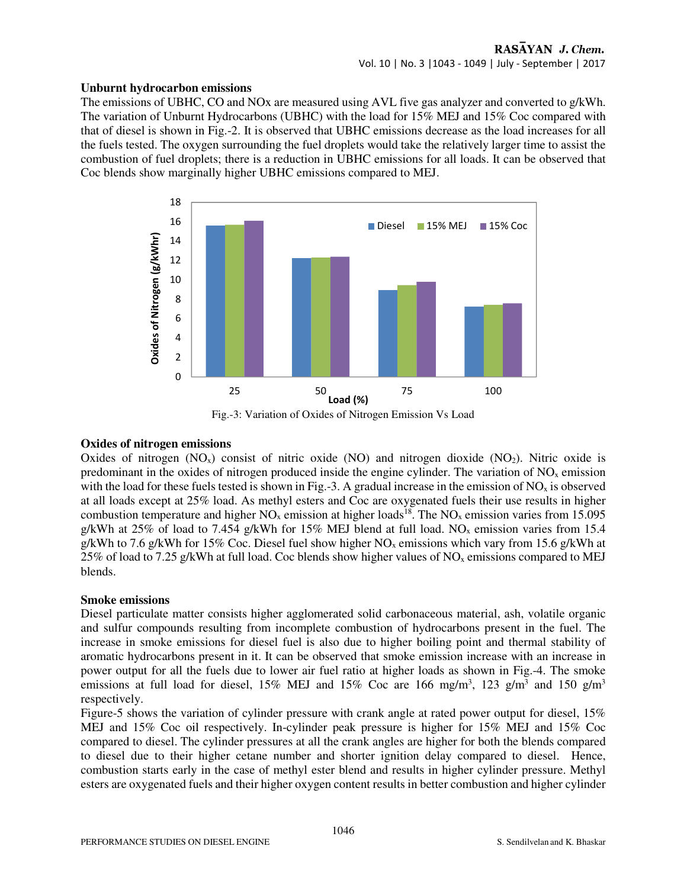#### **Unburnt hydrocarbon emissions**

The emissions of UBHC, CO and NOx are measured using AVL five gas analyzer and converted to g/kWh. The variation of Unburnt Hydrocarbons (UBHC) with the load for 15% MEJ and 15% Coc compared with that of diesel is shown in Fig.-2. It is observed that UBHC emissions decrease as the load increases for all the fuels tested. The oxygen surrounding the fuel droplets would take the relatively larger time to assist the combustion of fuel droplets; there is a reduction in UBHC emissions for all loads. It can be observed that Coc blends show marginally higher UBHC emissions compared to MEJ.



Fig.-3: Variation of Oxides of Nitrogen Emission Vs Load

# **Oxides of nitrogen emissions**

Oxides of nitrogen  $(NO<sub>x</sub>)$  consist of nitric oxide  $(NO)$  and nitrogen dioxide  $(NO<sub>2</sub>)$ . Nitric oxide is predominant in the oxides of nitrogen produced inside the engine cylinder. The variation of  $NO<sub>x</sub>$  emission with the load for these fuels tested is shown in Fig.-3. A gradual increase in the emission of  $NO<sub>x</sub>$  is observed at all loads except at 25% load. As methyl esters and Coc are oxygenated fuels their use results in higher combustion temperature and higher  $NO_x$  emission at higher loads<sup>18</sup>. The  $NO_x$  emission varies from 15.095 g/kWh at 25% of load to 7.454 g/kWh for 15% MEJ blend at full load. NO<sub>x</sub> emission varies from 15.4 g/kWh to 7.6 g/kWh for 15% Coc. Diesel fuel show higher  $NO<sub>x</sub>$  emissions which vary from 15.6 g/kWh at 25% of load to 7.25 g/kWh at full load. Coc blends show higher values of  $NO<sub>x</sub>$  emissions compared to MEJ blends.

# **Smoke emissions**

Diesel particulate matter consists higher agglomerated solid carbonaceous material, ash, volatile organic and sulfur compounds resulting from incomplete combustion of hydrocarbons present in the fuel. The increase in smoke emissions for diesel fuel is also due to higher boiling point and thermal stability of aromatic hydrocarbons present in it. It can be observed that smoke emission increase with an increase in power output for all the fuels due to lower air fuel ratio at higher loads as shown in Fig.-4. The smoke emissions at full load for diesel, 15% MEJ and 15% Coc are 166 mg/m<sup>3</sup>, 123 g/m<sup>3</sup> and 150 g/m<sup>3</sup> respectively.

Figure-5 shows the variation of cylinder pressure with crank angle at rated power output for diesel, 15% MEJ and 15% Coc oil respectively. In-cylinder peak pressure is higher for 15% MEJ and 15% Coc compared to diesel. The cylinder pressures at all the crank angles are higher for both the blends compared to diesel due to their higher cetane number and shorter ignition delay compared to diesel. Hence, combustion starts early in the case of methyl ester blend and results in higher cylinder pressure. Methyl esters are oxygenated fuels and their higher oxygen content results in better combustion and higher cylinder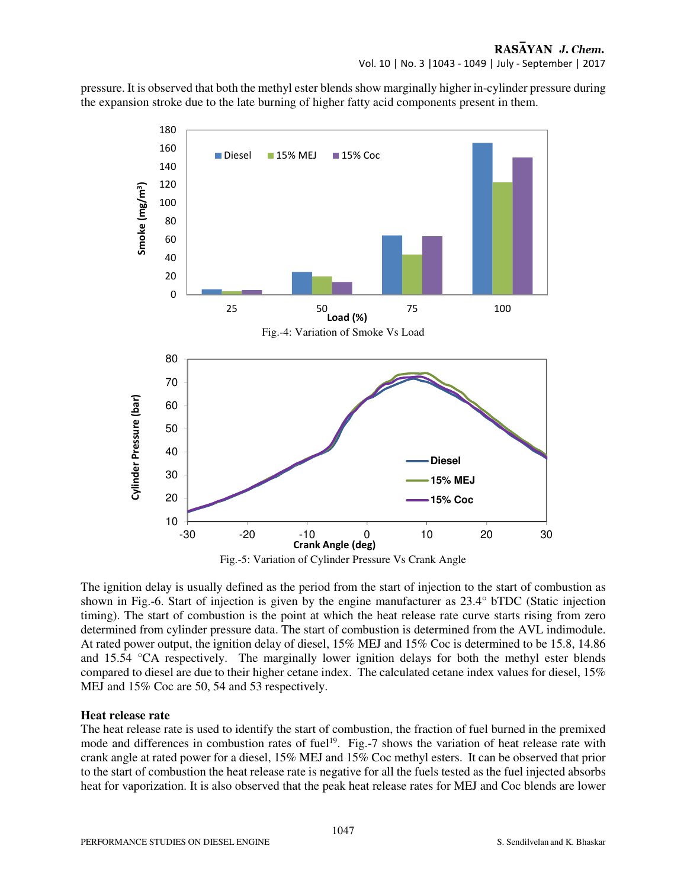pressure. It is observed that both the methyl ester blends show marginally higher in-cylinder pressure during the expansion stroke due to the late burning of higher fatty acid components present in them.



The ignition delay is usually defined as the period from the start of injection to the start of combustion as shown in Fig.-6. Start of injection is given by the engine manufacturer as 23.4° bTDC (Static injection timing). The start of combustion is the point at which the heat release rate curve starts rising from zero determined from cylinder pressure data. The start of combustion is determined from the AVL indimodule. At rated power output, the ignition delay of diesel, 15% MEJ and 15% Coc is determined to be 15.8, 14.86 and 15.54 °CA respectively. The marginally lower ignition delays for both the methyl ester blends compared to diesel are due to their higher cetane index. The calculated cetane index values for diesel, 15% MEJ and 15% Coc are 50, 54 and 53 respectively.

# **Heat release rate**

The heat release rate is used to identify the start of combustion, the fraction of fuel burned in the premixed mode and differences in combustion rates of fuel<sup>19</sup>. Fig.-7 shows the variation of heat release rate with crank angle at rated power for a diesel, 15% MEJ and 15% Coc methyl esters. It can be observed that prior to the start of combustion the heat release rate is negative for all the fuels tested as the fuel injected absorbs heat for vaporization. It is also observed that the peak heat release rates for MEJ and Coc blends are lower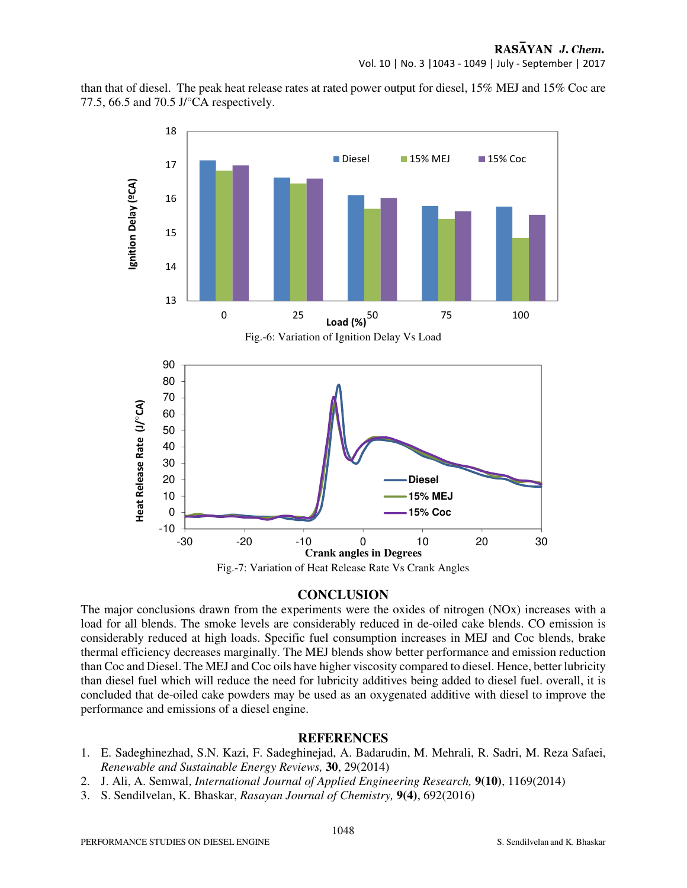than that of diesel. The peak heat release rates at rated power output for diesel, 15% MEJ and 15% Coc are 77.5, 66.5 and 70.5 J/°CA respectively.



# **CONCLUSION**

The major conclusions drawn from the experiments were the oxides of nitrogen (NOx) increases with a load for all blends. The smoke levels are considerably reduced in de-oiled cake blends. CO emission is considerably reduced at high loads. Specific fuel consumption increases in MEJ and Coc blends, brake thermal efficiency decreases marginally. The MEJ blends show better performance and emission reduction than Coc and Diesel. The MEJ and Coc oils have higher viscosity compared to diesel. Hence, better lubricity than diesel fuel which will reduce the need for lubricity additives being added to diesel fuel. overall, it is concluded that de-oiled cake powders may be used as an oxygenated additive with diesel to improve the performance and emissions of a diesel engine.

# **REFERENCES**

- 1. E. Sadeghinezhad, S.N. Kazi, F. Sadeghinejad, A. Badarudin, M. Mehrali, R. Sadri, M. Reza Safaei, *Renewable and Sustainable Energy Reviews,* **30**, 29(2014)
- 2. J. Ali, A. Semwal, *International Journal of Applied Engineering Research,* **9(10)**, 1169(2014)
- 3. S. Sendilvelan, K. Bhaskar, *Rasayan Journal of Chemistry,* **9(4)**, 692(2016)